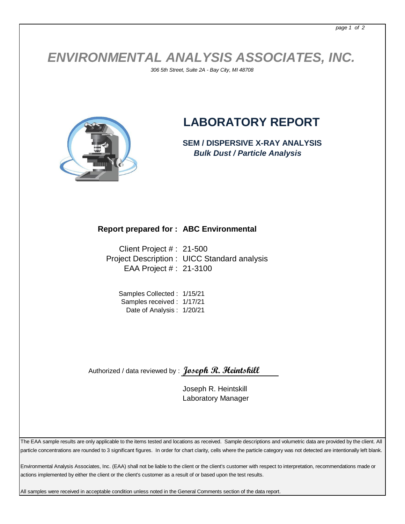## *ENVIRONMENTAL ANALYSIS ASSOCIATES, INC.*

*306 5th Street, Suite 2A - Bay City, MI 48708*



## **LABORATORY REPORT**

**SEM / DISPERSIVE X-RAY ANALYSIS**  *Bulk Dust / Particle Analysis*

## **Report prepared for : ABC Environmental**

Client Project # : 21-500 Project Description : UICC Standard analysis EAA Project # : 21-3100

Samples Collected : 1/15/21 Samples received : 1/17/21 Date of Analysis : 1/20/21

Authorized / data reviewed by : **Joseph R. Heintskill**

Joseph R. Heintskill Laboratory Manager

The EAA sample results are only applicable to the items tested and locations as received. Sample descriptions and volumetric data are provided by the client. All particle concentrations are rounded to 3 significant figures. In order for chart clarity, cells where the particle category was not detected are intentionally left blank.

Environmental Analysis Associates, Inc. (EAA) shall not be liable to the client or the client's customer with respect to interpretation, recommendations made or actions implemented by either the client or the client's customer as a result of or based upon the test results.

All samples were received in acceptable condition unless noted in the General Comments section of the data report.